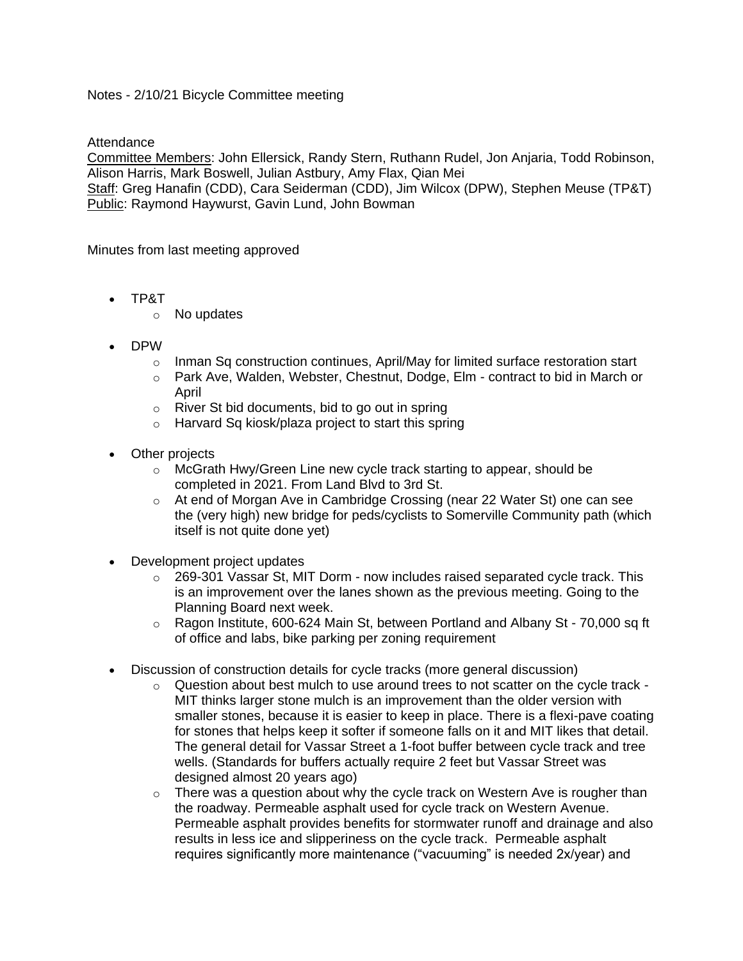## Notes - 2/10/21 Bicycle Committee meeting

**Attendance** 

Committee Members: John Ellersick, Randy Stern, Ruthann Rudel, Jon Anjaria, Todd Robinson, Alison Harris, Mark Boswell, Julian Astbury, Amy Flax, Qian Mei

Staff: Greg Hanafin (CDD), Cara Seiderman (CDD), Jim Wilcox (DPW), Stephen Meuse (TP&T) Public: Raymond Haywurst, Gavin Lund, John Bowman

Minutes from last meeting approved

- TP&T
	- o No updates
- DPW
	- $\circ$  Inman Sq construction continues, April/May for limited surface restoration start
	- $\circ$  Park Ave, Walden, Webster, Chestnut, Dodge, Elm contract to bid in March or April
	- $\circ$  River St bid documents, bid to go out in spring
	- o Harvard Sq kiosk/plaza project to start this spring
- Other projects
	- o McGrath Hwy/Green Line new cycle track starting to appear, should be completed in 2021. From Land Blvd to 3rd St.
	- o At end of Morgan Ave in Cambridge Crossing (near 22 Water St) one can see the (very high) new bridge for peds/cyclists to Somerville Community path (which itself is not quite done yet)
- Development project updates
	- $\circ$  269-301 Vassar St, MIT Dorm now includes raised separated cycle track. This is an improvement over the lanes shown as the previous meeting. Going to the Planning Board next week.
	- o Ragon Institute, 600-624 Main St, between Portland and Albany St 70,000 sq ft of office and labs, bike parking per zoning requirement
- Discussion of construction details for cycle tracks (more general discussion)
	- o Question about best mulch to use around trees to not scatter on the cycle track MIT thinks larger stone mulch is an improvement than the older version with smaller stones, because it is easier to keep in place. There is a flexi-pave coating for stones that helps keep it softer if someone falls on it and MIT likes that detail. The general detail for Vassar Street a 1-foot buffer between cycle track and tree wells. (Standards for buffers actually require 2 feet but Vassar Street was designed almost 20 years ago)
	- $\circ$  There was a question about why the cycle track on Western Ave is rougher than the roadway. Permeable asphalt used for cycle track on Western Avenue. Permeable asphalt provides benefits for stormwater runoff and drainage and also results in less ice and slipperiness on the cycle track. Permeable asphalt requires significantly more maintenance ("vacuuming" is needed 2x/year) and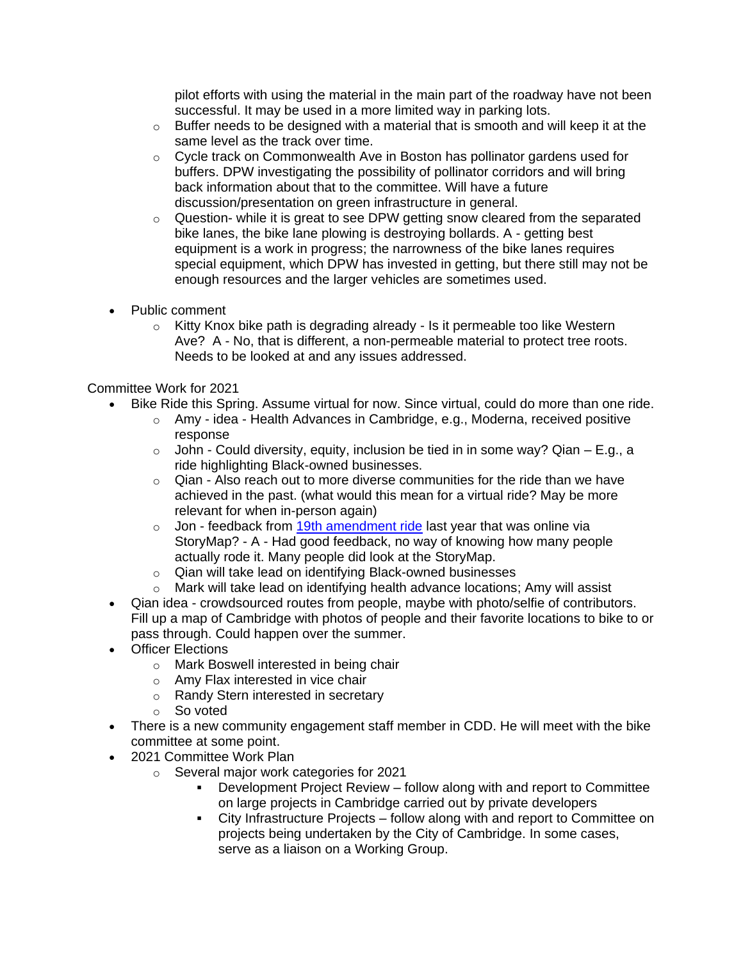pilot efforts with using the material in the main part of the roadway have not been successful. It may be used in a more limited way in parking lots.

- o Buffer needs to be designed with a material that is smooth and will keep it at the same level as the track over time.
- $\circ$  Cycle track on Commonwealth Ave in Boston has pollinator gardens used for buffers. DPW investigating the possibility of pollinator corridors and will bring back information about that to the committee. Will have a future discussion/presentation on green infrastructure in general.
- $\circ$  Question- while it is great to see DPW getting snow cleared from the separated bike lanes, the bike lane plowing is destroying bollards. A - getting best equipment is a work in progress; the narrowness of the bike lanes requires special equipment, which DPW has invested in getting, but there still may not be enough resources and the larger vehicles are sometimes used.
- Public comment
	- $\circ$  Kitty Knox bike path is degrading already Is it permeable too like Western Ave? A - No, that is different, a non-permeable material to protect tree roots. Needs to be looked at and any issues addressed.

## Committee Work for 2021

- Bike Ride this Spring. Assume virtual for now. Since virtual, could do more than one ride.
	- o Amy idea Health Advances in Cambridge, e.g., Moderna, received positive response
	- $\circ$  John Could diversity, equity, inclusion be tied in in some way? Qian E.g., a ride highlighting Black-owned businesses.
	- $\circ$  Qian Also reach out to more diverse communities for the ride than we have achieved in the past. (what would this mean for a virtual ride? May be more relevant for when in-person again)
	- $\circ$  Jon feedback from [19th amendment ride](https://storymaps.arcgis.com/stories/d61ca00a614648d6811629fab18dd11d) last year that was online via StoryMap? - A - Had good feedback, no way of knowing how many people actually rode it. Many people did look at the StoryMap.
	- o Qian will take lead on identifying Black-owned businesses
	- o Mark will take lead on identifying health advance locations; Amy will assist
- Qian idea crowdsourced routes from people, maybe with photo/selfie of contributors. Fill up a map of Cambridge with photos of people and their favorite locations to bike to or pass through. Could happen over the summer.
- Officer Elections
	- o Mark Boswell interested in being chair
	- o Amy Flax interested in vice chair
	- o Randy Stern interested in secretary
	- o So voted
- There is a new community engagement staff member in CDD. He will meet with the bike committee at some point.
- 2021 Committee Work Plan
	- o Several major work categories for 2021
		- Development Project Review follow along with and report to Committee on large projects in Cambridge carried out by private developers
		- City Infrastructure Projects follow along with and report to Committee on projects being undertaken by the City of Cambridge. In some cases, serve as a liaison on a Working Group.